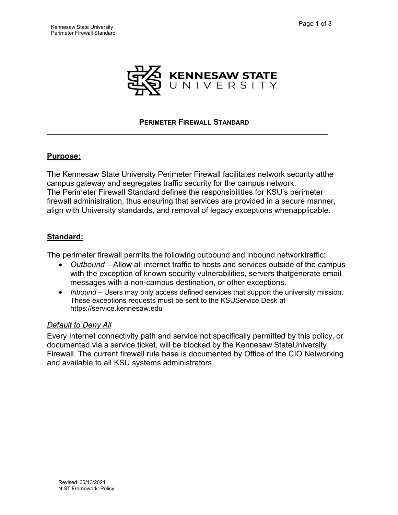

#### **PERIMETER FIREWALL STANDARD**

#### **Purpose:**

The Kennesaw State University Perimeter Firewall facilitates network security atthe campus gateway and segregates traffic security for the campus network. The Perimeter Firewall Standard defines the responsibilities for KSU's perimeter firewall administration, thus ensuring that services are provided in a secure manner, align with University standards, and removal of legacy exceptions whenapplicable.

## **Standard:**

The perimeter firewall permits the following outbound and inbound networktraffic:

- *Outbound*  Allow all internet traffic to hosts and services outside of the campus with the exception of known security vulnerabilities, servers thatgenerate email messages with a non-campus destination, or other exceptions.
- *Inbound* Users may only access defined services that support the university mission. These exceptions requests must be sent to the KSUService Desk at https://service.kennesaw.edu

## *Default to Deny All*

Every Internet connectivity path and service not specifically permitted by this policy, or documented via a service ticket, will be blocked by the Kennesaw StateUniversity Firewall. The current firewall rule base is documented by Office of the CIO Networking and available to all KSU systems administrators.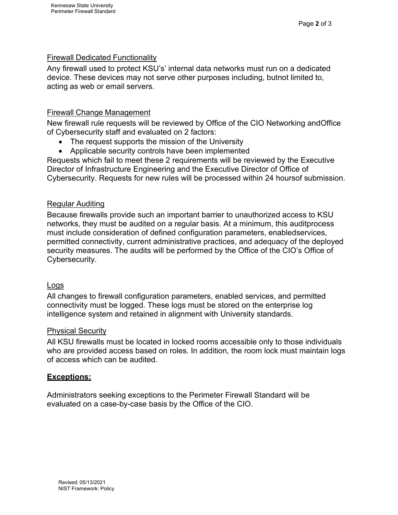### **Firewall Dedicated Functionality**

Any firewall used to protect KSU's' internal data networks must run on a dedicated device. These devices may not serve other purposes including, butnot limited to, acting as web or email servers.

#### Firewall Change Management

New firewall rule requests will be reviewed by Office of the CIO Networking andOffice of Cybersecurity staff and evaluated on 2 factors:

- The request supports the mission of the University
- Applicable security controls have been implemented

Requests which fail to meet these 2 requirements will be reviewed by the Executive Director of Infrastructure Engineering and the Executive Director of Office of Cybersecurity. Requests for new rules will be processed within 24 hoursof submission.

## Regular Auditing

Because firewalls provide such an important barrier to unauthorized access to KSU networks, they must be audited on a regular basis. At a minimum, this auditprocess must include consideration of defined configuration parameters, enabledservices, permitted connectivity, current administrative practices, and adequacy of the deployed security measures. The audits will be performed by the Office of the CIO's Office of Cybersecurity.

#### Logs

All changes to firewall configuration parameters, enabled services, and permitted connectivity must be logged. These logs must be stored on the enterprise log intelligence system and retained in alignment with University standards.

#### Physical Security

All KSU firewalls must be located in locked rooms accessible only to those individuals who are provided access based on roles. In addition, the room lock must maintain logs of access which can be audited.

## **Exceptions:**

Administrators seeking exceptions to the Perimeter Firewall Standard will be evaluated on a case-by-case basis by the Office of the CIO.